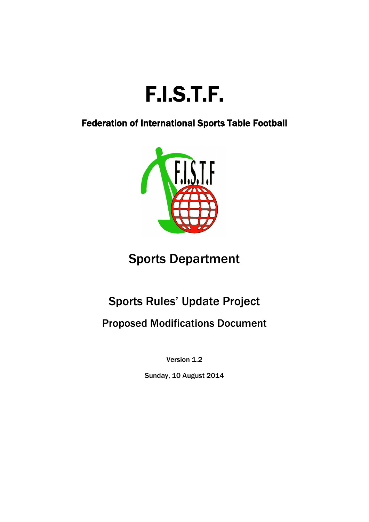

Federation of International Sports Table Football



# Sports Department

# Sports Rules' Update Project

Proposed Modifications Document

Version 1.2

Sunday, 10 August 2014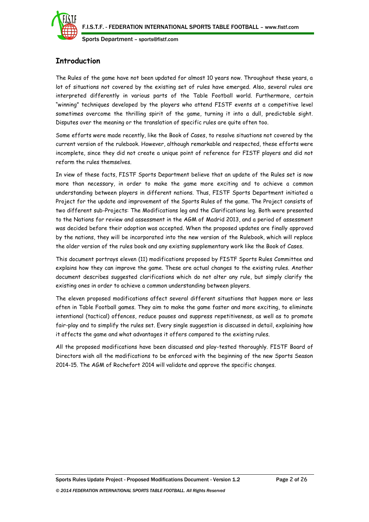

# **Introduction**

The Rules of the game have not been updated for almost 10 years now. Throughout these years, a lot of situations not covered by the existing set of rules have emerged. Also, several rules are interpreted differently in various parts of the Table Football world. Furthermore, certain "winning" techniques developed by the players who attend FISTF events at a competitive level sometimes overcome the thrilling spirit of the game, turning it into a dull, predictable sight. Disputes over the meaning or the translation of specific rules are quite often too.

Some efforts were made recently, like the Book of Cases, to resolve situations not covered by the current version of the rulebook. However, although remarkable and respected, these efforts were incomplete, since they did not create a unique point of reference for FISTF players and did not reform the rules themselves.

In view of these facts, FISTF Sports Department believe that an update of the Rules set is now more than necessary, in order to make the game more exciting and to achieve a common understanding between players in different nations. Thus, FISTF Sports Department initiated a Project for the update and improvement of the Sports Rules of the game. The Project consists of two different sub-Projects: The Modifications leg and the Clarifications leg. Both were presented to the Nations for review and assessment in the AGM of Madrid 2013, and a period of assessment was decided before their adoption was accepted. When the proposed updates are finally approved by the nations, they will be incorporated into the new version of the Rulebook, which will replace the older version of the rules book and any existing supplementary work like the Book of Cases.

This document portrays eleven (11) modifications proposed by FISTF Sports Rules Committee and explains how they can improve the game. These are actual changes to the existing rules. Another document describes suggested clarifications which do not alter any rule, but simply clarify the existing ones in order to achieve a common understanding between players.

The eleven proposed modifications affect several different situations that happen more or less often in Table Football games. They aim to make the game faster and more exciting, to eliminate intentional (tactical) offences, reduce pauses and suppress repetitiveness, as well as to promote fair-play and to simplify the rules set. Every single suggestion is discussed in detail, explaining how it affects the game and what advantages it offers compared to the existing rules.

All the proposed modifications have been discussed and play-tested thoroughly. FISTF Board of Directors wish all the modifications to be enforced with the beginning of the new Sports Season 2014-15. The AGM of Rochefort 2014 will validate and approve the specific changes.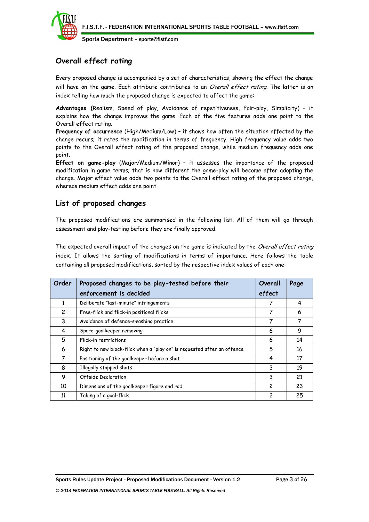

# **Overall effect rating**

Every proposed change is accompanied by a set of characteristics, showing the effect the change will have on the game. Each attribute contributes to an Overall effect rating. The latter is an index telling how much the proposed change is expected to affect the game:

**Advantages (**Realism, Speed of play, Avoidance of repetitiveness, Fair-play, Simplicity) – it explains how the change improves the game. Each of the five features adds one point to the Overall effect rating.

**Frequency of occurrence** (High/Medium/Low) – it shows how often the situation affected by the change recurs; it rates the modification in terms of frequency. High frequency value adds two points to the Overall effect rating of the proposed change, while medium frequency adds one point.

**Effect on game-play** (Major/Medium/Minor) – it assesses the importance of the proposed modification in game terms; that is how different the game-play will become after adopting the change. Major effect value adds two points to the Overall effect rating of the proposed change, whereas medium effect adds one point.

# **List of proposed changes**

The proposed modifications are summarised in the following list. All of them will go through assessment and play-testing before they are finally approved.

The expected overall impact of the changes on the game is indicated by the Overall effect rating index. It allows the sorting of modifications in terms of importance. Here follows the table containing all proposed modifications, sorted by the respective index values of each one:

| Order | Proposed changes to be play-tested before their                         | Overall | Page |
|-------|-------------------------------------------------------------------------|---------|------|
|       | enforcement is decided                                                  | effect  |      |
| 1     | Deliberate "last-minute" infringements                                  |         | 4    |
| 2     | Free-flick and flick-in positional flicks                               | 7       | 6    |
| 3     | Avoidance of defence-smashing practice                                  | 7       | 7    |
| 4     | Spare-goalkeeper removing                                               | 6       | 9    |
| 5     | Flick-in restrictions                                                   | 6       | 14   |
| 6     | Right to new block-flick when a "play on" is requested after an offence | 5       | 16   |
| 7     | Positioning of the goalkeeper before a shot                             | 4       | 17   |
| 8     | Illegally stopped shots                                                 | 3       | 19   |
| 9     | Offside Declaration                                                     | 3       | 21   |
| 10    | Dimensions of the goalkeeper figure and rod                             | 2       | 23   |
| 11    | Taking of a goal-flick                                                  | 2       | 25   |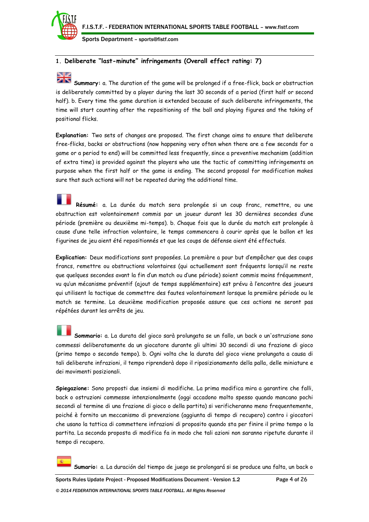

# **1. Deliberate "last-minute" infringements (Overall effect rating: 7)**

# N. DZ

**Summary:** a. The duration of the game will be prolonged if a free-flick, back or obstruction is deliberately committed by a player during the last 30 seconds of a period (first half or second half). b. Every time the game duration is extended because of such deliberate infringements, the time will start counting after the repositioning of the ball and playing figures and the taking of positional flicks.

**Explanation:** Two sets of changes are proposed. The first change aims to ensure that deliberate free-flicks, backs or obstructions (now happening very often when there are a few seconds for a game or a period to end) will be committed less frequently, since a preventive mechanism (addition of extra time) is provided against the players who use the tactic of committing infringements on purpose when the first half or the game is ending. The second proposal for modification makes sure that such actions will not be repeated during the additional time.

**Résumé:** a. La durée du match sera prolongée si un coup franc, remettre, ou une obstruction est volontairement commis par un joueur durant les 30 dernières secondes d'une période (première ou deuxième mi-temps). b. Chaque fois que la durée du match est prolongée à cause d'une telle infraction volontaire, le temps commencera à courir après que le ballon et les figurines de jeu aient été repositionnés et que les coups de défense aient été effectués.

**Explication:** Deux modifications sont proposées. La première a pour but d'empêcher que des coups francs, remettre ou obstructions volontaires (qui actuellement sont fréquents lorsqu'il ne reste que quelques secondes avant la fin d'un match ou d'une période) soient commis moins fréquemment, vu qu'un mécanisme préventif (ajout de temps supplémentaire) est prévu à l'encontre des joueurs qui utilisent la tactique de commettre des fautes volontairement lorsque la première période ou le match se termine. La deuxième modification proposée assure que ces actions ne seront pas répétées durant les arrêts de jeu.

**Sommario:** a. La durata del gioco sarà prolungata se un fallo, un back o un'ostruzione sono commessi deliberatamente da un giocatore durante gli ultimi 30 secondi di una frazione di gioco (primo tempo o secondo tempo). b. Ogni volta che la durata del gioco viene prolungata a causa di tali deliberate infrazioni, il tempo riprenderà dopo il riposizionamento della palla, delle miniature e dei movimenti posizionali.

**Spiegazione:** Sono proposti due insiemi di modifiche. La prima modifica mira a garantire che falli, back o ostruzioni commesse intenzionalmente (oggi accadono molto spesso quando mancano pochi secondi al termine di una frazione di gioco o della partita) si verificheranno meno frequentemente, poiché è fornito un meccanismo di prevenzione (aggiunta di tempo di recupero) contro i giocatori che usano la tattica di commettere infrazioni di proposito quando sta per finire il primo tempo o la partita. La seconda proposta di modifica fa in modo che tali azioni non saranno ripetute durante il tempo di recupero.

**Sumario:** a. La duración del tiempo de juego se prolongará si se produce una falta, un back o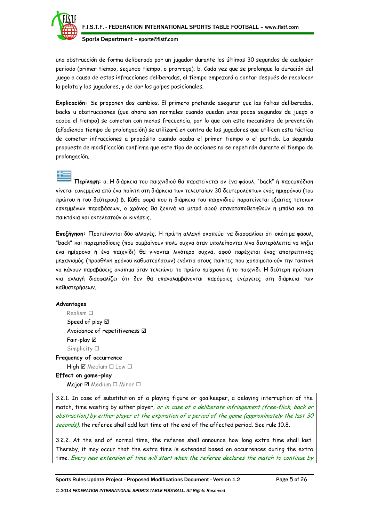

una obstrucción de forma deliberada por un jugador durante los últimos 30 segundos de cualquier periodo (primer tiempo, segundo tiempo, o prorroga). b. Cada vez que se prolongue la duración del juego a causa de estas infracciones deliberadas, el tiempo empezará a contar después de recolocar la pelota y los jugadores, y de dar los golpes posicionales.

**Explicación:** Se proponen dos cambios. El primero pretende asegurar que las faltas deliberadas, backs u obstrucciones (que ahora son normales cuando quedan unos pocos segundos de juego o acaba el tiempo) se cometan con menos frecuencia, por lo que con este mecanismo de prevención (añadiendo tiempo de prolongación) se utilizará en contra de los jugadores que utilicen esta táctica de cometer infracciones a propósito cuando acaba el primer tiempo o el partido. La segunda propuesta de modificación confirma que este tipo de acciones no se repetirán durante el tiempo de prolongación.

**Περίληψη:** α. Η διάρκεια του παιχνιδιού θα παρατείνεται αν ένα φάουλ, "back" ή παρεμπόδιση γίνεται εσκεμμένα από ένα παίκτη στη διάρκεια των τελευταίων 30 δευτερολέπτων ενός ημιχρόνου (του πρώτου ή του δεύτερου) β. Κάθε φορά που η διάρκεια του παιχνιδιού παρατείνεται εξαιτίας τέτοιων εσκεμμένων παραβάσεων, ο χρόνος θα ξεκινά να μετρά αφού επανατοποθετηθούν η μπάλα και τα παικτάκια και εκτελεστούν οι κινήσεις.

**Επεξήγηση:** Προτείνονται δύο αλλαγές. Η πρώτη αλλαγή σκοπεύει να διασφαλίσει ότι σκόπιμα φάουλ, "back" και παρεμποδίσεις (που συμβαίνουν πολύ συχνά όταν υπολείπονται λίγα δευτερόλεπτα να λήξει ένα ημίχρονο ή ένα παιχνίδι) θα γίνονται λιγότερο συχνά, αφού παρέχεται ένας αποτρεπτικός μηχανισμός (προσθήκη χρόνου καθυστερήσεων) ενάντια στους παίκτες που χρησιμοποιούν την τακτική να κάνουν παραβάσεις σκόπιμα όταν τελειώνει το πρώτο ημίχρονο ή το παιχνίδι. Η δεύτερη πρόταση για αλλαγή διασφαλίζει ότι δεν θα επαναλαμβάνονται παρόμοιες ενέργειες στη διάρκεια των καθυστερήσεων.

## **Advantages**

Realism  $\square$ Speed of play  $\boxtimes$ Avoidance of repetitiveness  $\boxtimes$ Fair-play Simplicity  $\square$ 

**Frequency of occurrence**  $High \boxtimes Median \Box Low \Box$ **Effect on game-play**

Major  $\boxtimes$  Medium  $\square$  Minor  $\square$ 

3.2.1. In case of substitution of a playing figure or goalkeeper, a delaying interruption of the match, time wasting by either player, or in case of a deliberate infringement (free-flick, back or obstruction) by either player at the expiration of a period of the game (approximately the last 30 seconds), the referee shall add lost time at the end of the affected period. See rule 10.8.

3.2.2. At the end of normal time, the referee shall announce how long extra time shall last. Thereby, it may occur that the extra time is extended based on occurrences during the extra time. Every new extension of time will start when the referee declares the match to continue by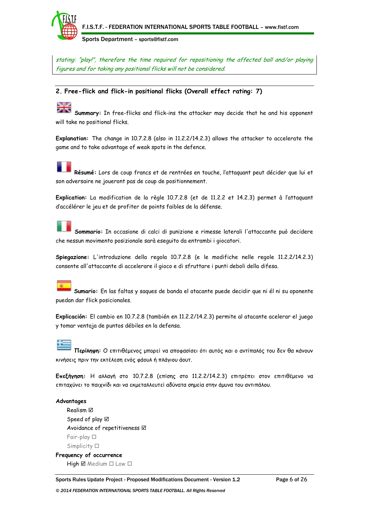

stating: "play!", therefore the time required for repositioning the affected ball and/or playing figures and for taking any positional flicks will not be considered.

# **2. Free-flick and flick-in positional flicks (Overall effect rating: 7)**

**Summary:** In free-flicks and flick-ins the attacker may decide that he and his opponent will take no positional flicks.

**Explanation:** The change in 10.7.2.8 (also in 11.2.2/14.2.3) allows the attacker to accelerate the game and to take advantage of weak spots in the defence.

**Résumé:** Lors de coup francs et de rentrées en touche, l'attaquant peut décider que lui et son adversaire ne joueront pas de coup de positionnement.

**Explication:** La modification de la règle 10.7.2.8 (et de 11.2.2 et 14.2.3) permet à l'attaquant d'accélérer le jeu et de profiter de points faibles de la défense.

**Sommario:** In occasione di calci di punizione e rimesse laterali l'attaccante può decidere che nessun movimento posizionale sarà eseguito da entrambi i giocatori.

**Spiegazione:** L'introduzione della regola 10.7.2.8 (e le modifiche nelle regole 11.2.2/14.2.3) consente all'attaccante di accelerare il gioco e di sfruttare i punti deboli della difesa.

**Sumario:** En las faltas y saques de banda el atacante puede decidir que ni él ni su oponente puedan dar flick posicionales.

**Explicación:** El cambio en 10.7.2.8 (también en 11.2.2/14.2.3) permite al atacante acelerar el juego y tomar ventaja de puntos débiles en la defensa.

**Περίληψη:** Ο επιτιθέμενος μπορεί να αποφασίσει ότι αυτός και ο αντίπαλός του δεν θα κάνουν κινήσεις πριν την εκτέλεση ενός φάουλ ή πλάγιου άουτ.

**Επεξήγηση:** Η αλλαγή στο 10.7.2.8 (επίσης στο 11.2.2/14.2.3) επιτρέπει στον επιτιθέμενο να επιταχύνει το παιχνίδι και να εκμεταλλευτεί αδύνατα σημεία στην άμυνα του αντιπάλου.

# **Advantages**

Realism Speed of play  $\boxtimes$ Avoidance of repetitiveness Fair-play Simplicity  $\square$ 

**Frequency of occurrence**  $High \boxtimes Median \square Low \square$ 

Sports Rules Update Project - Proposed Modifications Document - Version 1.2 Page 6 of 26 *© 2014 FEDERATION INTERNATIONAL SPORTS TABLE FOOTBALL. All Rights Reserved*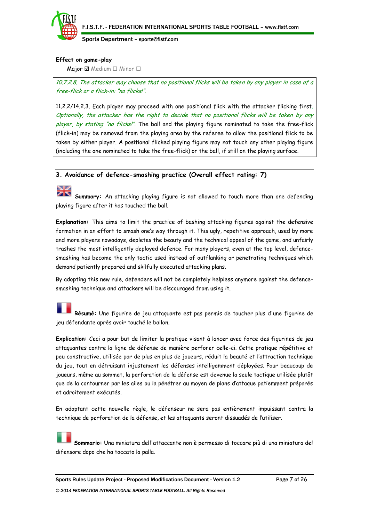

# **Effect on game-play**

Major  $\boxtimes$  Medium  $\Box$  Minor  $\Box$ 

10.7.2.8. The attacker may choose that no positional flicks will be taken by any player in case of a free-flick or a flick-in: "no flicks!".

11.2.2/14.2.3. Each player may proceed with one positional flick with the attacker flicking first. Optionally, the attacker has the right to decide that no positional flicks will be taken by any player, by stating "no flicks!". The ball and the playing figure nominated to take the free-flick (flick-in) may be removed from the playing area by the referee to allow the positional flick to be taken by either player. A positional flicked playing figure may not touch any other playing figure (including the one nominated to take the free-flick) or the ball, if still on the playing surface.

# **3. Avoidance of defence-smashing practice (Overall effect rating: 7)**

**Summary:** An attacking playing figure is not allowed to touch more than one defending playing figure after it has touched the ball.

**Explanation:** This aims to limit the practice of bashing attacking figures against the defensive formation in an effort to smash one's way through it. This ugly, repetitive approach, used by more and more players nowadays, depletes the beauty and the technical appeal of the game, and unfairly trashes the most intelligently deployed defence. For many players, even at the top level, defencesmashing has become the only tactic used instead of outflanking or penetrating techniques which demand patiently prepared and skilfully executed attacking plans.

By adopting this new rule, defenders will not be completely helpless anymore against the defencesmashing technique and attackers will be discouraged from using it.

**Résumé:** Une figurine de jeu attaquante est pas permis de toucher plus d'une figurine de jeu défendante après avoir touché le ballon.

**Explication:** Ceci a pour but de limiter la pratique visant à lancer avec force des figurines de jeu attaquantes contre la ligne de défense de manière perforer celle-ci. Cette pratique répétitive et peu constructive, utilisée par de plus en plus de joueurs, réduit la beauté et l'attraction technique du jeu, tout en détruisant injustement les défenses intelligemment déployées. Pour beaucoup de joueurs, même au sommet, la perforation de la défense est devenue la seule tactique utilisée plutôt que de la contourner par les ailes ou la pénétrer au moyen de plans d'attaque patiemment préparés et adroitement exécutés.

En adoptant cette nouvelle règle, le défenseur ne sera pas entièrement impuissant contra la technique de perforation de la défense, et les attaquants seront dissuadés de l'utiliser.

**Sommario:** Una miniatura dell'attaccante non è permesso di toccare più di una miniatura del difensore dopo che ha toccato la palla.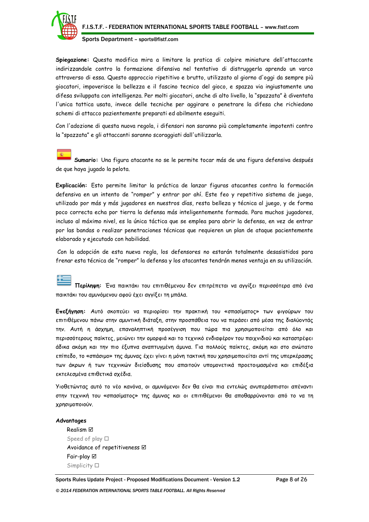

**Spiegazione:** Questa modifica mira a limitare la pratica di colpire miniature dell'attaccante indirizzandole contro la formazione difensiva nel tentativo di distruggerla aprendo un varco attraverso di essa. Questo approccio ripetitivo e brutto, utilizzato al giorno d'oggi da sempre più giocatori, impoverisce la bellezza e il fascino tecnico del gioco, e spazza via ingiustamente una difesa sviluppata con intelligenza. Per molti giocatori, anche di alto livello, la "spazzata" è diventata l'unica tattica usata, invece delle tecniche per aggirare o penetrare la difesa che richiedono schemi di attacco pazientemente preparati ed abilmente eseguiti.

Con l'adozione di questa nuova regola, i difensori non saranno più completamente impotenti contro la "spazzata" e gli attaccanti saranno scoraggiati dall'utilizzarla.

**Sumario:** Una figura atacante no se le permite tocar más de una figura defensiva después de que haya jugado la pelota.

**Explicación:** Esto permite limitar la práctica de lanzar figuras atacantes contra la formación defensiva en un intento de "romper" y entrar por ahí. Este feo y repetitivo sistema de juego, utilizado por más y más jugadores en nuestros días, resta belleza y técnica al juego, y de forma poco correcta echa por tierra la defensa más inteligentemente formada. Para muchos jugadores, incluso al máximo nivel, es la única táctica que se emplea para abrir la defensa, en vez de entrar por las bandas o realizar penetraciones técnicas que requieren un plan de ataque pacientemente elaborado y ejecutado con habilidad.

Con la adopción de esta nueva regla, los defensores no estarán totalmente desasistidos para frenar esta técnica de "romper" la defensa y los atacantes tendrán menos ventaja en su utilización.

**Περίληψη:** Ένα παικτάκι του επιτιθέμενου δεν επιτρέπεται να αγγίξει περισσότερα από ένα παικτάκι του αμυνόμενου αφού έχει αγγίξει τη μπάλα.

**Επεξήγηση:** Αυτό σκοπεύει να περιορίσει την πρακτική του «σπασίματος» των φιγούρων του επιτιθέμενου πάνω στην αμυντική διάταξη, στην προσπάθεια του να περάσει από μέσα της διαλύοντάς την. Αυτή η άσχημη, επαναληπτική προσέγγιση που τώρα πια χρησιμοποιείται από όλο και περισσότερους παίκτες, μειώνει την ομορφιά και το τεχνικό ενδιαφέρον του παιχνιδιού και καταστρέφει άδικα ακόμη και την πιο έξυπνα αναπτυγμένη άμυνα. Για πολλούς παίκτες, ακόμη και στο ανώτατο επίπεδο, το «σπάσιμο» της άμυνας έχει γίνει η μόνη τακτική που χρησιμοποιείται αντί της υπερκέρασης των άκρων ή των τεχνικών διείσδυσης που απαιτούν υπομονετικά προετοιμασμένα και επιδέξια εκτελεσμένα επιθετικά σχέδια.

Υιοθετώντας αυτό το νέο κανόνα, οι αμυνόμενοι δεν θα είναι πια εντελώς ανυπεράσπιστοι απέναντι στην τεχνική του «σπασίματος» της άμυνας και οι επιτιθέμενοι θα αποθαρρύνονται από το να τη χρησιμοποιούν.

#### **Advantages**

Realism Speed of play  $\Box$ Avoidance of repetitiveness  $\boxtimes$ Fair-play Simplicity  $\square$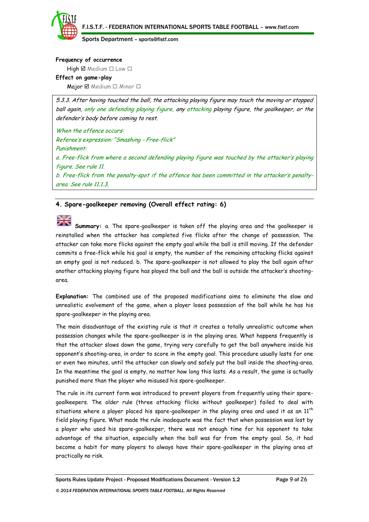#### **Frequency of occurrence**

 $High \boxtimes Median \square Low \square$ 

#### **Effect on game-play**

Major  $\boxtimes$  Medium  $\Box$  Minor  $\Box$ 

5.3.3. After having touched the ball, the attacking playing figure may touch the moving or stopped ball again, only one defending playing figure, any attacking playing figure, the goalkeeper, or the defender's body before coming to rest.

When the offence occurs: Referee's expression: "Smashing - Free-flick" Punishment: a. Free-flick from where a second defending playing figure was touched by the attacker's playing figure. See rule 11. b. Free-flick from the penalty-spot if the offence has been committed in the attacker's penaltyarea. See rule 11.1.3.

# **4. Spare-goalkeeper removing (Overall effect rating: 6)**

**Summary:** a. The spare-goalkeeper is taken off the playing area and the goalkeeper is reinstalled when the attacker has completed five flicks after the change of possession. The attacker can take more flicks against the empty goal while the ball is still moving. If the defender commits a free-flick while his goal is empty, the number of the remaining attacking flicks against an empty goal is not reduced. b. The spare-goalkeeper is not allowed to play the ball again after another attacking playing figure has played the ball and the ball is outside the attacker's shootingarea.

**Explanation:** The combined use of the proposed modifications aims to eliminate the slow and unrealistic evolvement of the game, when a player loses possession of the ball while he has his spare-goalkeeper in the playing area.

The main disadvantage of the existing rule is that it creates a totally unrealistic outcome when possession changes while the spare-goalkeeper is in the playing area. What happens frequently is that the attacker slows down the game, trying very carefully to get the ball anywhere inside his opponent's shooting-area, in order to score in the empty goal. This procedure usually lasts for one or even two minutes, until the attacker can slowly and safely put the ball inside the shooting-area. In the meantime the goal is empty, no matter how long this lasts. As a result, the game is actually punished more than the player who misused his spare-goalkeeper.

The rule in its current form was introduced to prevent players from frequently using their sparegoalkeepers. The older rule (three attacking flicks without goalkeeper) failed to deal with situations where a player placed his spare-goalkeeper in the playing area and used it as an  $11<sup>th</sup>$ field playing figure. What made the rule inadequate was the fact that when possession was lost by a player who used his spare-goalkeeper, there was not enough time for his opponent to take advantage of the situation, especially when the ball was far from the empty goal. So, it had become a habit for many players to always have their spare-goalkeeper in the playing area at practically no risk.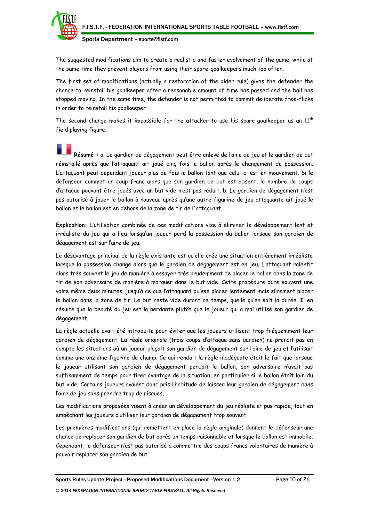

The suggested modifications aim to create a realistic and faster evolvement of the game, while at the same time they prevent players from using their spare-goalkeepers much too often.

The first set of modifications (actually a restoration of the older rule) gives the defender the chance to reinstall his goalkeeper after a reasonable amount of time has passed and the ball has stopped moving. In the same time, the defender is not permitted to commit deliberate free-flicks in order to reinstall his goalkeeper.

The second change makes it impossible for the attacker to use his spare-goalkeeper as an  $11<sup>th</sup>$ field playing figure.

**Résumé :** a. Le gardien de dégagement peut être enlevé de l'aire de jeu et le gardien de but réinstallé après que l'attaquant ait joué cinq fois le ballon après le changement de possession. L'attaquant peut cependant joueur plus de fois le ballon tant que celui-ci est en mouvement. Si le défenseur commet un coup franc alors que son gardien de but est absent, le nombre de coups d'attaque pouvant être joués avec un but vide n'est pas réduit. b. Le gardien de dégagement n'est pas autorisé à jouer le ballon à nouveau après qu'une autre figurine de jeu attaquante ait joué le ballon et le ballon est en dehors de la zone de tir de l'attaquant.

**Explication:** L'utilisation combinée de ces modifications vise à éliminer le développement lent et irréaliste du jeu qui a lieu lorsqu'un joueur perd la possession du ballon lorsque son gardien de dégagement est sur l'aire de jeu.

Le désavantage principal de la règle existante est qu'elle crée une situation entièrement irréaliste lorsque la possession change alors que le gardien de dégagement est en jeu. L'attaquant ralentit alors très souvent le jeu de manière à essayer très prudemment de placer le ballon dans la zone de tir de son adversaire de manière à marquer dans le but vide. Cette procédure dure souvent une voire même deux minutes, jusqu'à ce que l'attaquant puisse placer lentement mais sûrement placer le ballon dans la zone de tir. Le but reste vide durant ce temps, quelle qu'en soit la durée. Il en résulte que la beauté du jeu est la perdante plutôt que le joueur qui a mal utilisé son gardien de dégagement.

La règle actuelle avait été introduite pour éviter que les joueurs utilisent trop fréquemment leur gardien de dégagement. La règle originale (trois coups d'attaque sans gardien) ne prenait pas en compte les situations où un joueur plaçait son gardien de dégagement sur l'aire de jeu et l'utilisait comme une onzième figurine de champ. Ce qui rendait la règle inadéquate était le fait que lorsque le joueur utilisant son gardien de dégagement perdait le ballon, son adversaire n'avait pas suffisamment de temps pour tirer avantage de la situation, en particulier si le ballon était loin du but vide. Certains joueurs avaient donc pris l'habitude de laisser leur gardien de dégagement dans l'aire de jeu sans prendre trop de risques.

Les modifications proposées visent à créer un développement du jeu réaliste et pus rapide, tout en empêchant les joueurs d'utiliser leur gardien de dégagement trop souvent.

Les premières modifications (qui remettent en place la règle originale) donnent le défenseur une chance de replacer son gardien de but après un temps raisonnable et lorsque le ballon est immobile. Cependant, le défenseur n'est pas autorisé à commettre des coups francs volontaires de manière à pouvoir replacer son gardien de but.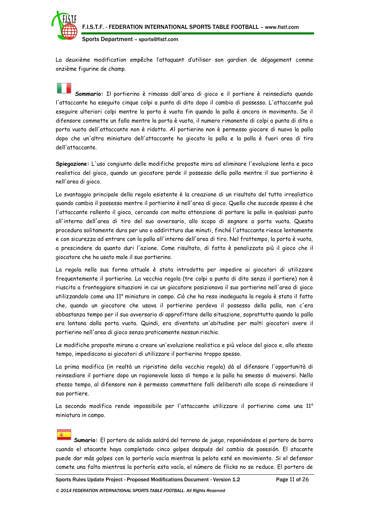

La deuxième modification empêche l'attaquant d'utiliser son gardien de dégagement comme onzième figurine de champ.

**Sommario:** Il portierino è rimosso dall'area di gioco e il portiere è reinsediato quando l'attaccante ha eseguito cinque colpi a punta di dito dopo il cambio di possesso. L'attaccante può eseguire ulteriori colpi mentre la porta è vuota fin quando la palla è ancora in movimento. Se il difensore commette un fallo mentre la porta è vuota, il numero rimanente di colpi a punta di dito a porta vuota dell'attaccante non è ridotto. Al portierino non è permesso giocare di nuovo la palla dopo che un'altra miniatura dell'attaccante ho giocato la palla e la palla è fuori area di tiro dell'attaccante.

**Spiegazione:** L'uso congiunto delle modifiche proposte mira ad eliminare l'evoluzione lenta e poco realistica del gioco, quando un giocatore perde il possesso della palla mentre il suo portierino è nell'area di gioco.

Lo svantaggio principale della regola esistente è la creazione di un risultato del tutto irrealistico quando cambia il possesso mentre il portierino è nell'area di gioco. Quello che succede spesso è che l'attaccante rallenta il gioco, cercando con molta attenzione di portare la palla in qualsiasi punto all'interno dell'area di tiro del suo avversario, allo scopo di segnare a porta vuota. Questa procedura solitamente dura per uno o addirittura due minuti, finché l'attaccante riesce lentamente e con sicurezza ad entrare con la palla all'interno dell'area di tiro. Nel frattempo, la porta è vuota, a prescindere da quanto duri l'azione. Come risultato, di fatto è penalizzato più il gioco che il giocatore che ha usato male il suo portierino.

La regola nella sua forma attuale è stata introdotta per impedire ai giocatori di utilizzare frequentemente il portierino. La vecchia regola (tre colpi a punta di dito senza il portiere) non è riuscita a fronteggiare situazioni in cui un giocatore posizionava il suo portierino nell'area di gioco utilizzandolo come una 11<sup>ª</sup> miniatura in campo. Ciò che ha reso inadeguata la regola è stato il fatto che, quando un giocatore che usava il portierino perdeva il possesso della palla, non c'era abbastanza tempo per il suo avversario di approfittare della situazione, soprattutto quando la palla era lontana dalla porta vuota. Quindi, era diventata un'abitudine per molti giocatori avere il portierino nell'area di gioco senza praticamente nessun rischio.

Le modifiche proposte mirano a creare un'evoluzione realistica e più veloce del gioco e, allo stesso tempo, impediscono ai giocatori di utilizzare il portierino troppo spesso.

La prima modifica (in realtà un ripristino della vecchia regola) dà al difensore l'opportunità di reinsediare il portiere dopo un ragionevole lasso di tempo e la palla ha smesso di muoversi. Nello stesso tempo, al difensore non è permesso commettere falli deliberati allo scopo di reinsediare il suo portiere.

La seconda modifica rende impossibile per l'attaccante utilizzare il portierino come una 11<sup>a</sup> miniatura in campo.

**Sumario:** El portero de salida saldrá del terreno de juego, reponiéndose el portero de barra cuando el atacante haya completado cinco golpes después del cambio de posesión. El atacante puede dar más golpes con la portería vacía mientras la pelota esté en movimiento. Si el defensor comete una falta mientras la portería esta vacía, el número de flicks no se reduce. El portero de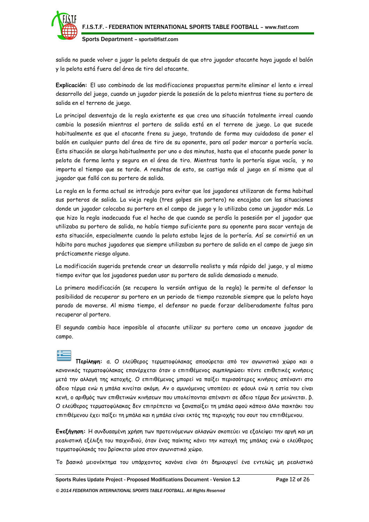

salida no puede volver a jugar la pelota después de que otro jugador atacante haya jugado el balón y la pelota está fuera del área de tiro del atacante.

**Explicación:** El uso combinado de las modificaciones propuestas permite eliminar el lento e irreal desarrollo del juego, cuando un jugador pierde la posesión de la pelota mientras tiene su portero de salida en el terreno de juego.

La principal desventaja de la regla existente es que crea una situación totalmente irreal cuando cambia la posesión mientras el portero de salida está en el terreno de juego. Lo que sucede habitualmente es que el atacante frena su juego, tratando de forma muy cuidadosa de poner el balón en cualquier punto del área de tiro de su oponente, para así poder marcar a portería vacía. Esta situación se alarga habitualmente por uno o dos minutos, hasta que el atacante puede poner la pelota de forma lenta y segura en el área de tiro. Mientras tanto la portería sigue vacía, y no importa el tiempo que se tarde. A resultas de esto, se castiga más al juego en sí mismo que al jugador que falló con su portero de salida.

La regla en la forma actual se introdujo para evitar que los jugadores utilizaran de forma habitual sus porteros de salida. La vieja regla (tres golpes sin portero) no encajaba con las situaciones donde un jugador colocaba su portero en el campo de juego y lo utilizaba como un jugador más. Lo que hizo la regla inadecuada fue el hecho de que cuando se perdía la posesión por el jugador que utilizaba su portero de salida, no había tiempo suficiente para su oponente para sacar ventaja de esta situación, especialmente cuando la pelota estaba lejos de la portería. Así se convirtió en un hábito para muchos jugadores que siempre utilizaban su portero de salida en el campo de juego sin prácticamente riesgo alguno.

La modificación sugerida pretende crear un desarrollo realista y más rápido del juego, y al mismo tiempo evitar que los jugadores puedan usar su portero de salida demasiado a menudo.

La primera modificación (se recupera la versión antigua de la regla) le permite al defensor la posibilidad de recuperar su portero en un periodo de tiempo razonable siempre que la pelota haya parado de moverse. Al mismo tiempo, el defensor no puede forzar deliberadamente faltas para recuperar al portero.

El segundo cambio hace imposible al atacante utilizar su portero como un onceavo jugador de campo.

**Περίληψη:** α. Ο ελεύθερος τερματοφύλακας αποσύρεται από τον αγωνιστικό χώρο και ο κανονικός τερματοφύλακας επανέρχεται όταν ο επιτιθέμενος συμπληρώσει πέντε επιθετικές κινήσεις μετά την αλλαγή της κατοχής. Ο επιτιθέμενος μπορεί να παίξει περισσότερες κινήσεις απέναντι στο άδειο τέρμα ενώ η μπάλα κινείται ακόμη. Αν ο αμυνόμενος υποπέσει σε φάουλ ενώ η εστία του είναι κενή, ο αριθμός των επιθετικών κινήσεων που υπολείπονται απέναντι σε άδειο τέρμα δεν μειώνεται. β. Ο ελεύθερος τερματοφύλακας δεν επιτρέπεται να ξαναπαίξει τη μπάλα αφού κάποιο άλλο παικτάκι του επιτιθέμενου έχει παίξει τη μπάλα και η μπάλα είναι εκτός της περιοχής του σουτ του επιτιθέμενου.

**Επεξήγηση:** Η συνδυασμένη χρήση των προτεινόμενων αλλαγών σκοπεύει να εξαλείψει την αργή και μη ρεαλιστική εξέλιξη του παιχνιδιού, όταν ένας παίκτης κάνει την κατοχή της μπάλας ενώ ο ελεύθερος τερματοφύλακάς του βρίσκεται μέσα στον αγωνιστικό χώρο.

Το βασικό μειονέκτημα του υπάρχοντος κανόνα είναι ότι δημιουργεί ένα εντελώς μη ρεαλιστικό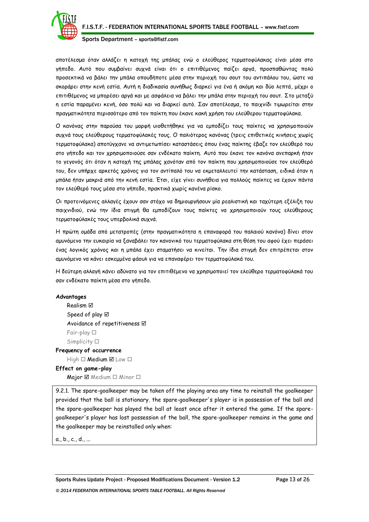

αποτέλεσμα όταν αλλάζει η κατοχή της μπάλας ενώ ο ελεύθερος τερματοφύλακας είναι μέσα στο γήπεδο. Αυτό που συμβαίνει συχνά είναι ότι ο επιτιθέμενος παίζει αργά, προσπαθώντας πολύ προσεκτικά να βάλει την μπάλα οπουδήποτε μέσα στην περιοχή του σουτ του αντιπάλου του, ώστε να σκοράρει στην κενή εστία. Αυτή η διαδικασία συνήθως διαρκεί για ένα ή ακόμη και δύο λεπτά, μέχρι ο επιτιθέμενος να μπορέσει αργά και με ασφάλεια να βάλει την μπάλα στην περιοχή του σουτ. Στο μεταξύ η εστία παραμένει κενή, όσο πολύ και να διαρκεί αυτό. Σαν αποτέλεσμα, το παιχνίδι τιμωρείται στην πραγματικότητα περισσότερο από τον παίκτη που έκανε κακή χρήση του ελεύθερου τερματοφύλακα.

Ο κανόνας στην παρούσα του μορφή υιοθετήθηκε για να εμποδίζει τους παίκτες να χρησιμοποιούν συχνά τους ελεύθερους τερματοφύλακές τους. Ο παλιότερος κανόνας (τρεις επιθετικές κινήσεις χωρίς τερματοφύλακα) αποτύγχανε να αντιμετωπίσει καταστάσεις όπου ένας παίκτης έβαζε τον ελεύθερό του στο γήπεδο και τον χρησιμοποιούσε σαν ενδέκατο παίκτη. Αυτό που έκανε τον κανόνα ανεπαρκή ήταν το γεγονός ότι όταν η κατοχή της μπάλας χανόταν από τον παίκτη που χρησιμοποιούσε τον ελεύθερό του, δεν υπήρχε αρκετός χρόνος για τον αντίπαλό του να εκμεταλλευτεί την κατάσταση, ειδικά όταν η μπάλα ήταν μακριά από την κενή εστία. Έτσι, είχε γίνει συνήθεια για πολλούς παίκτες να έχουν πάντα τον ελεύθερό τους μέσα στο γήπεδο, πρακτικά χωρίς κανένα ρίσκο.

Οι προτεινόμενες αλλαγές έχουν σαν στόχο να δημιουργήσουν μία ρεαλιστική και ταχύτερη εξέλιξη του παιχνιδιού, ενώ την ίδια στιγμή θα εμποδίζουν τους παίκτες να χρησιμοποιούν τους ελεύθερους τερματοφύλακές τους υπερβολικά συχνά.

Η πρώτη ομάδα από μετατροπές (στην πραγματικότητα η επαναφορά του παλαιού κανόνα) δίνει στον αμυνόμενο την ευκαιρία να ξαναβάλει τον κανονικό του τερματοφύλακα στη θέση του αφού έχει περάσει ένας λογικός χρόνος και η μπάλα έχει σταματήσει να κινείται. Την ίδια στιγμή δεν επιτρέπεται στον αμυνόμενο να κάνει εσκεμμένα φάουλ για να επαναφέρει τον τερματοφύλακά του.

Η δεύτερη αλλαγή κάνει αδύνατο για τον επιτιθέμενο να χρησιμοποιεί τον ελεύθερο τερματοφύλακά του σαν ενδέκατο παίκτη μέσα στο γήπεδο.

#### **Advantages**

Realism Speed of play  $\boxtimes$ Avoidance of repetitiveness  $\boxtimes$ Fair-play Simplicity  $\square$ **Frequency of occurrence**

 $High \Box$  Medium  $\Box$  Low  $\Box$ 

## **Effect on game-play**

Major  $\boxtimes$  Medium  $\Box$  Minor  $\Box$ 

9.2.1. The spare-goalkeeper may be taken off the playing area any time to reinstall the goalkeeper provided that the ball is stationary, the spare-goalkeeper's player is in possession of the ball and the spare-goalkeeper has played the ball at least once after it entered the game. If the sparegoalkeeper's player has lost possession of the ball, the spare-goalkeeper remains in the game and the goalkeeper may be reinstalled only when:

a., b., c., d., ...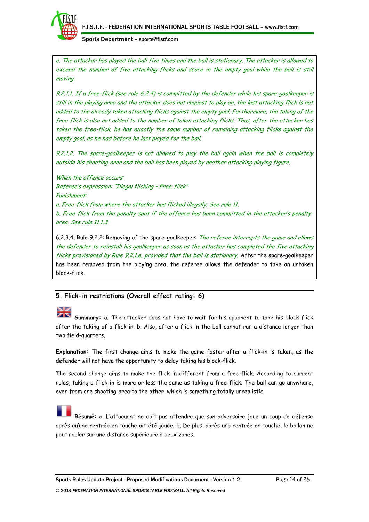

e. The attacker has played the ball five times and the ball is stationary. The attacker is allowed to exceed the number of five attacking flicks and score in the empty goal while the ball is still moving.

9.2.1.1. If a free-flick (see rule 6.2.4) is committed by the defender while his spare-goalkeeper is still in the playing area and the attacker does not request to play on, the last attacking flick is not added to the already taken attacking flicks against the empty goal. Furthermore, the taking of the free-flick is also not added to the number of taken attacking flicks. Thus, after the attacker has taken the free-flick, he has exactly the same number of remaining attacking flicks against the empty goal, as he had before he last played for the ball.

9.2.1.2. The spare-goalkeeper is not allowed to play the ball again when the ball is completely outside his shooting-area and the ball has been played by another attacking playing figure.

When the offence occurs: Referee's expression: "Illegal flicking – Free-flick" Punishment: a. Free-flick from where the attacker has flicked illegally. See rule 11. b. Free-flick from the penalty-spot if the offence has been committed in the attacker's penaltyarea. See rule 11.1.3.

6.2.3.4. Rule 9.2.2: Removing of the spare-qoalkeeper: The referee interrupts the game and allows the defender to reinstall his goalkeeper as soon as the attacker has completed the five attacking flicks provisioned by Rule 9.2.1.e, provided that the ball is stationary. After the spare-goalkeeper has been removed from the playing area, the referee allows the defender to take an untaken block-flick.

# **5. Flick-in restrictions (Overall effect rating: 6)**

#### N. I <u>ak</u>

**Summary:** a. The attacker does not have to wait for his opponent to take his block-flick after the taking of a flick-in. b. Also, after a flick-in the ball cannot run a distance longer than two field-quarters.

**Explanation: T**he first change aims to make the game faster after a flick-in is taken, as the defender will not have the opportunity to delay taking his block-flick.

The second change aims to make the flick-in different from a free-flick. According to current rules, taking a flick-in is more or less the same as taking a free-flick. The ball can go anywhere, even from one shooting-area to the other, which is something totally unrealistic.

**Résumé:** a. L'attaquant ne doit pas attendre que son adversaire joue un coup de défense après qu'une rentrée en touche ait été jouée. b. De plus, après une rentrée en touche, le ballon ne peut rouler sur une distance supérieure à deux zones.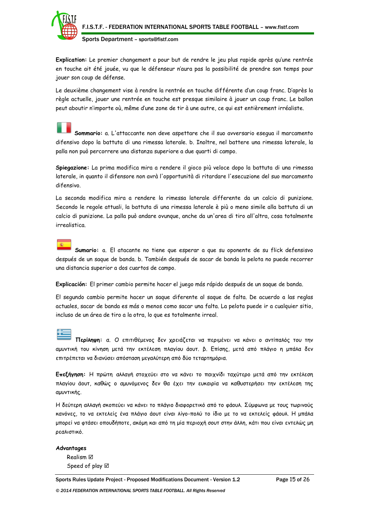

**Explication:** Le premier changement a pour but de rendre le jeu plus rapide après qu'une rentrée en touche ait été jouée, vu que le défenseur n'aura pas la possibilité de prendre son temps pour jouer son coup de défense.

Le deuxième changement vise à rendre la rentrée en touche différente d'un coup franc. D'après la règle actuelle, jouer une rentrée en touche est presque similaire à jouer un coup franc. Le ballon peut aboutir n'importe où, même d'une zone de tir à une autre, ce qui est entièrement irréaliste.

**Sommario:** a. L'attaccante non deve aspettare che il suo avversario esegua il marcamento difensivo dopo la battuta di una rimessa laterale. b. Inoltre, nel battere una rimessa laterale, la palla non può percorrere una distanza superiore a due quarti di campo.

**Spiegazione:** La prima modifica mira a rendere il gioco più veloce dopo la battuta di una rimessa laterale, in quanto il difensore non avrà l'opportunità di ritardare l'esecuzione del suo marcamento difensivo.

La seconda modifica mira a rendere la rimessa laterale differente da un calcio di punizione. Secondo le regole attuali, la battuta di una rimessa laterale è più o meno simile alla battuta di un calcio di punizione. La palla può andare ovunque, anche da un'area di tiro all'altra, cosa totalmente irrealistica.

**Sumario:** a. El atacante no tiene que esperar a que su oponente de su flick defensisvo después de un saque de banda. b. También después de sacar de banda la pelota no puede recorrer una distancia superior a dos cuartos de campo.

**Explicación:** El primer cambio permite hacer el juego más rápido después de un saque de banda.

El segundo cambio permite hacer un saque diferente al saque de falta. De acuerdo a las reglas actuales, sacar de banda es más o menos como sacar una falta. La pelota puede ir a cualquier sitio, incluso de un área de tiro a la otra, lo que es totalmente irreal.

**Περίληψη:** α. Ο επιτιθέμενος δεν χρειάζεται να περιμένει να κάνει ο αντίπαλός του την αμυντική του κίνηση μετά την εκτέλεση πλαγίου άουτ. β. Επίσης, μετά από πλάγιο η μπάλα δεν

επιτρέπεται να διανύσει απόσταση μεγαλύτερη από δύο τεταρτημόρια.

**Επεξήγηση:** Η πρώτη αλλαγή στοχεύει στο να κάνει το παιχνίδι ταχύτερο μετά από την εκτέλεση πλαγίου άουτ, καθώς ο αμυνόμενος δεν θα έχει την ευκαιρία να καθυστερήσει την εκτέλεση της αμυντικής.

Η δεύτερη αλλαγή σκοπεύει να κάνει το πλάγιο διαφορετικό από το φάουλ. Σύμφωνα με τους τωρινούς κανόνες, το να εκτελείς ένα πλάγιο άουτ είναι λίγο-πολύ το ίδιο με το να εκτελείς φάουλ. Η μπάλα μπορεί να φτάσει οπουδήποτε, ακόμη και από τη μία περιοχή σουτ στην άλλη, κάτι που είναι εντελώς μη ρεαλιστικό.

**Advantages** Realism Speed of play  $\boxtimes$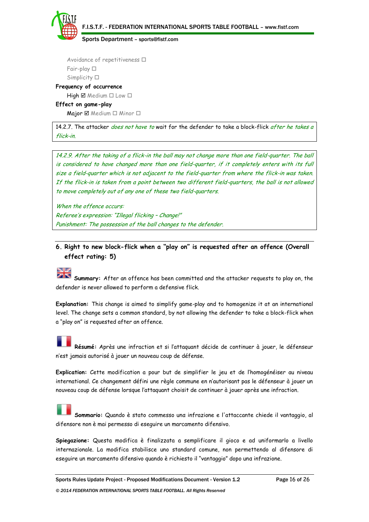F.I.S.T.F. - FEDERATION INTERNATIONAL SPORTS TABLE FOOTBALL – www.fistf.com

Sports Department – sports@fistf.com

Avoidance of repetitiveness  $\Box$ Fair-play Simplicity  $\square$ 

**Frequency of occurrence**

# $High \boxtimes Median \Box Low \Box$

**Effect on game-play** Major  $\boxtimes$  Medium  $\Box$  Minor  $\Box$ 

14.2.7. The attacker *does not have to* wait for the defender to take a block-flick after he takes a flick-in.

14.2.9. After the taking of a flick-in the ball may not change more than one field-quarter. The ball is considered to have changed more than one field-quarter, if it completely enters with its full size a field-quarter which is not adjacent to the field-quarter from where the flick-in was taken. If the flick-in is taken from a point between two different field-quarters, the ball is not allowed to move completely out of any one of these two field-quarters.

When the offence occurs: Referee's expression: "Illegal flicking – Change!" Punishment: The possession of the ball changes to the defender.

# **6. Right to new block-flick when a "play on" is requested after an offence (Overall effect rating: 5)**

# NW

**Summary:** After an offence has been committed and the attacker requests to play on, the defender is never allowed to perform a defensive flick.

**Explanation:** This change is aimed to simplify game-play and to homogenize it at an international level. The change sets a common standard, by not allowing the defender to take a block-flick when a "play on" is requested after an offence.

**Résumé:** Après une infraction et si l'attaquant décide de continuer à jouer, le défenseur n'est jamais autorisé à jouer un nouveau coup de défense.

**Explication:** Cette modification a pour but de simplifier le jeu et de l'homogénéiser au niveau international. Ce changement défini une règle commune en n'autorisant pas le défenseur à jouer un nouveau coup de défense lorsque l'attaquant choisit de continuer à jouer après une infraction.

**Sommario:** Quando è stato commesso unα infrazione e l'attaccante chiede il vantaggio, al difensore non è mai permesso di eseguire un marcamento difensivo.

**Spiegazione:** Questa modifica è finalizzata a semplificare il gioco e ad uniformarlo a livello internazionale. La modifica stabilisce uno standard comune, non permettendo al difensore di eseguire un marcamento difensivo quando è richiesto il "vantaggio" dopo unα infrazione.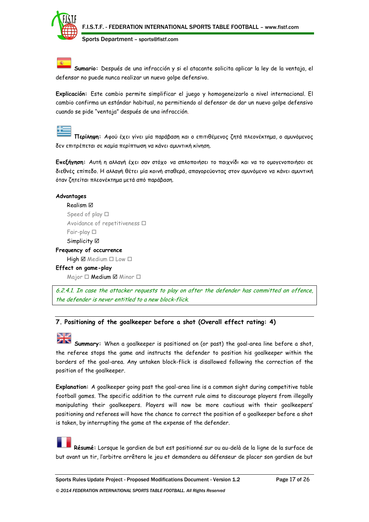

**Sumario:** Después de unα infracción y si el atacante solicita aplicar la ley de la ventaja, el defensor no puede nunca realizar un nuevo golpe defensivo.

**Explicación:** Este cambio permite simplificar el juego y homogeneizarlo a nivel internacional. El cambio confirma un estándar habitual, no permitiendo al defensor de dar un nuevo golpe defensivo cuando se pide "ventaja" después de unα infracción.

**Περίληψη:** Αφού έχει γίνει μία παράβαση και ο επιτιθέμενος ζητά πλεονέκτημα, ο αμυνόμενος δεν επιτρέπεται σε καμία περίπτωση να κάνει αμυντική κίνηση.

**Επεξήγηση:** Αυτή η αλλαγή έχει σαν στόχο να απλοποιήσει το παιχνίδι και να το ομογενοποιήσει σε διεθνές επίπεδο. Η αλλαγή θέτει μία κοινή σταθερά, απαγορεύοντας στον αμυνόμενο να κάνει αμυντική όταν ζητείται πλεονέκτημα μετά από παράβαση.

# **Advantages** Realism Speed of play  $\Box$ Avoidance of repetitiveness  $\Box$ Fair-play Simplicity **Ø Frequency of occurrence**  $High \boxtimes Median \Box Low \Box$

**Effect on game-play**

 $M$ ajor  $\Box$  **Medium**  $\Box$  Minor  $\Box$ 

6.2.4.1. In case the attacker requests to play on after the defender has committed an offence, the defender is never entitled to a new block-flick.

# **7. Positioning of the goalkeeper before a shot (Overall effect rating: 4)**

**Summary:** When a goalkeeper is positioned on (or past) the goal-area line before a shot, the referee stops the game and instructs the defender to position his goalkeeper within the borders of the goal-area. Any untaken block-flick is disallowed following the correction of the position of the goalkeeper.

**Explanation:** A goalkeeper going past the goal-area line is a common sight during competitive table football games. The specific addition to the current rule aims to discourage players from illegally manipulating their goalkeepers. Players will now be more cautious with their goalkeepers' positioning and referees will have the chance to correct the position of a goalkeeper before a shot is taken, by interrupting the game at the expense of the defender.

**Résumé:** Lorsque le gardien de but est positionné sur ou au-delà de la ligne de la surface de but avant un tir, l'arbitre arrêtera le jeu et demandera au défenseur de placer son gardien de but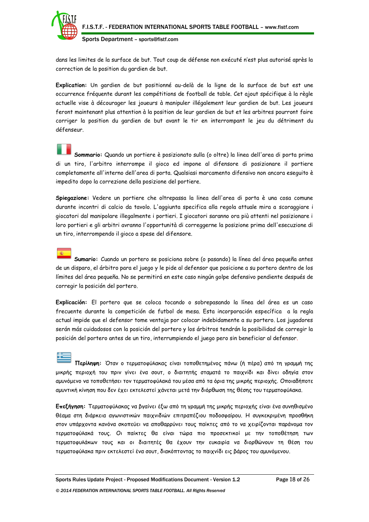

dans les limites de la surface de but. Tout coup de défense non exécuté n'est plus autorisé après la correction de la position du gardien de but.

**Explication:** Un gardien de but positionné au-delà de la ligne de la surface de but est une occurrence fréquente durant les compétitions de football de table. Cet ajout spécifique à la règle actuelle vise à décourager les joueurs à manipuler illégalement leur gardien de but. Les joueurs feront maintenant plus attention à la position de leur gardien de but et les arbitres pourront faire corriger la position du gardien de but avant le tir en interrompant le jeu du détriment du défenseur.

**Sommario:** Quando un portiere è posizionato sulla (o oltre) la linea dell'area di porta prima di un tiro, l'arbitro interrompe il gioco ed impone al difensore di posizionare il portiere completamente all'interno dell'area di porta. Qualsiasi marcamento difensivo non ancora eseguito è impedito dopo la correzione della posizione del portiere.

**Spiegazione:** Vedere un portiere che oltrepassa la linea dell'area di porta è una cosa comune durante incontri di calcio da tavolo. L'aggiunta specifica alla regola attuale mira a scoraggiare i giocatori dal manipolare illegalmente i portieri. I giocatori saranno ora più attenti nel posizionare i loro portieri e gli arbitri avranno l'opportunità di correggerne la posizione prima dell'esecuzione di un tiro, interrompendo il gioco a spese del difensore.

**Sumario:** Cuando un portero se posiciona sobre (o pasando) la línea del área pequeña antes de un disparo, el árbitro para el juego y le pide al defensor que posicione a su portero dentro de los límites del área pequeña. No se permitirá en este caso ningún golpe defensivo pendiente después de corregir la posición del portero.

**Explicación:** El portero que se coloca tocando o sobrepasando la línea del área es un caso frecuente durante la competición de futbol de mesa. Esta incorporación específica a la regla actual impide que el defensor tome ventaja por colocar indebidamente a su portero. Los jugadores serán más cuidadosos con la posición del portero y los árbitros tendrán la posibilidad de corregir la posición del portero antes de un tiro, interrumpiendo el juego pero sin beneficiar al defensor.

**Περίληψη:** Όταν ο τερματοφύλακας είναι τοποθετημένος πάνω (ή πέρα) από τη γραμμή της μικρής περιοχή του πριν γίνει ένα σουτ, ο διαιτητής σταματά το παιχνίδι και δίνει οδηγία στον αμυνόμενο να τοποθετήσει τον τερματοφύλακά του μέσα από τα όρια της μικρής περιοχής. Οποιαδήποτε αμυντική κίνηση που δεν έχει εκτελεστεί χάνεται μετά την διόρθωση της θέσης του τερματοφύλακα.

**Επεξήγηση:** Τερματοφύλακας να βγαίνει έξω από τη γραμμή της μικρής περιοχής είναι ένα συνηθισμένο θέαμα στη διάρκεια αγωνιστικών παιχνιδιών επιτραπέζιου ποδοσφαίρου. Η συγκεκριμένη προσθήκη στον υπάρχοντα κανόνα σκοπεύει να αποθαρρύνει τους παίκτες από το να χειρίζονται παράνομα τον τερματοφύλακά τους. Οι παίκτες θα είναι τώρα πιο προσεκτικοί με την τοποθέτηση των τερματοφυλάκων τους και οι διαιτητές θα έχουν την ευκαιρία να διορθώνουν τη θέση του τερματοφύλακα πριν εκτελεστεί ένα σουτ, διακόπτοντας το παιχνίδι εις βάρος του αμυνόμενου.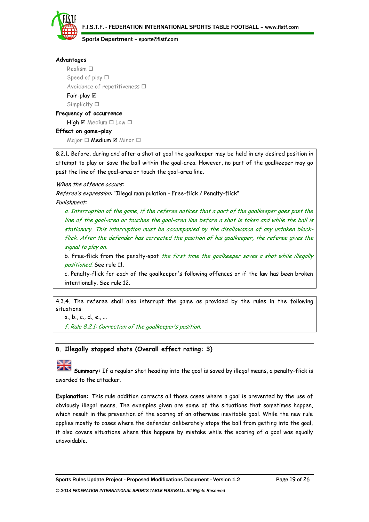



# **Advantages**

Realism  $\square$ Speed of play  $\Box$ Avoidance of repetitiveness  $\Box$ Fair-play Simplicity  $\square$ **Frequency of occurrence**

 $High \boxtimes Median \square Low \square$ 

# **Effect on game-play**

 $M$ ajor  $\Box$  **Medium**  $\Box$  Minor  $\Box$ 

8.2.1. Before, during and after a shot at goal the goalkeeper may be held in any desired position in attempt to play or save the ball within the goal-area. However, no part of the goalkeeper may go past the line of the goal-area or touch the goal-area line.

When the offence occurs:

Referee's expression: "Illegal manipulation - Free-flick / Penalty-flick"

Punishment:

a. Interruption of the game, if the referee notices that a part of the goalkeeper goes past the line of the goal-area or touches the goal-area line before a shot is taken and while the ball is stationary. This interruption must be accompanied by the disallowance of any untaken blockflick. After the defender has corrected the position of his goalkeeper, the referee gives the signal to play on.

b. Free-flick from the penalty-spot the first time the goalkeeper saves a shot while illegally positioned. See rule 11.

c. Penalty-flick for each of the goalkeeper's following offences or if the law has been broken intentionally. See rule 12.

4.3.4. The referee shall also interrupt the game as provided by the rules in the following situations:

a., b., c., d., e., ...

f. Rule 8.2.1: Correction of the goalkeeper's position.

# **8. Illegally stopped shots (Overall effect rating: 3)**

**Summary:** If a regular shot heading into the goal is saved by illegal means, a penalty-flick is awarded to the attacker.

**Explanation:** This rule addition corrects all those cases where a goal is prevented by the use of obviously illegal means. The examples given are some of the situations that sometimes happen, which result in the prevention of the scoring of an otherwise inevitable goal. While the new rule applies mostly to cases where the defender deliberately stops the ball from getting into the goal, it also covers situations where this happens by mistake while the scoring of a goal was equally unavoidable.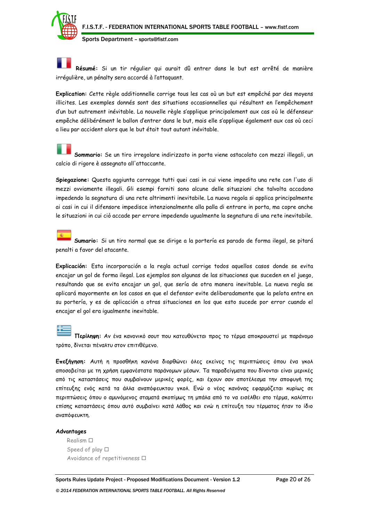

**Résumé:** Si un tir régulier qui aurait dû entrer dans le but est arrêté de manière irrégulière, un pénalty sera accordé à l'attaquant.

**Explication:** Cette règle additionnelle corrige tous les cas où un but est empêché par des moyens illicites. Les exemples donnés sont des situations occasionnelles qui résultent en l'empêchement d'un but autrement inévitable. La nouvelle règle s'applique principalement aux cas où le défenseur empêche délibérément le ballon d'entrer dans le but, mais elle s'applique également aux cas où ceci a lieu par accident alors que le but était tout autant inévitable.

**Sommario:** Se un tiro irregolare indirizzato in porta viene ostacolato con mezzi illegali, un calcio di rigore è assegnato all'attaccante.

**Spiegazione:** Questa aggiunta corregge tutti quei casi in cui viene impedita una rete con l'uso di mezzi ovviamente illegali. Gli esempi forniti sono alcune delle situazioni che talvolta accadono impedendo la segnatura di una rete altrimenti inevitabile. La nuova regola si applica principalmente ai casi in cui il difensore impedisce intenzionalmente alla palla di entrare in porta, ma copre anche le situazioni in cui ciò accade per errore impedendo ugualmente la segnatura di una rete inevitabile.

**Sumario:** Si un tiro normal que se dirige a la portería es parado de forma ilegal, se pitará penalti a favor del atacante.

**Explicación:** Esta incorporación a la regla actual corrige todos aquellos casos donde se evita encajar un gol de forma ilegal. Los ejemplos son algunas de las situaciones que suceden en el juego, resultando que se evita encajar un gol, que sería de otra manera inevitable. La nueva regla se aplicará mayormente en los casos en que el defensor evite deliberadamente que la pelota entre en su portería, y es de aplicación a otras situaciones en los que esto sucede por error cuando el encajar el gol era igualmente inevitable.

**Περίληψη:** Αν ένα κανονικό σουτ που κατευθύνεται προς το τέρμα αποκρουστεί με παράνομο τρόπο, δίνεται πέναλτυ στον επιτιθέμενο.

**Επεξήγηση:** Αυτή η προσθήκη κανόνα διορθώνει όλες εκείνες τις περιπτώσεις όπου ένα γκολ αποσοβείται με τη χρήση εμφανέστατα παράνομων μέσων. Τα παραδείγματα που δίνονται είναι μερικές από τις καταστάσεις που συμβαίνουν μερικές φορές, και έχουν σαν αποτέλεσμα την αποφυγή της επίτευξης ενός κατά τα άλλα αναπόφευκτου γκολ. Ενώ ο νέος κανόνας εφαρμόζεται κυρίως σε περιπτώσεις όπου ο αμυνόμενος σταματά σκοπίμως τη μπάλα από το να εισέλθει στο τέρμα, καλύπτει επίσης καταστάσεις όπου αυτό συμβαίνει κατά λάθος και ενώ η επίτευξη του τέρματος ήταν το ίδιο αναπόφευκτη.

## **Advantages**

Realism  $\square$ Speed of play  $\Box$ Avoidance of repetitiveness  $\Box$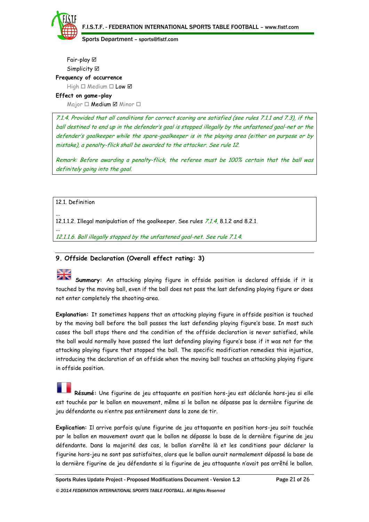

Fair-play Simplicity **Ø Frequency of occurrence** High  $\Box$  Medium  $\Box$  Low  $\boxtimes$ **Effect on game-play**

 $M$ ajor  $\Box$  **Medium**  $\Box$  Minor  $\Box$ 

7.1.4. Provided that all conditions for correct scoring are satisfied (see rules 7.1.1 and 7.3), if the ball destined to end up in the defender's goal is stopped illegally by the unfastened goal-net or the defender's goalkeeper while the spare-goalkeeper is in the playing area (either on purpose or by mistake), a penalty-flick shall be awarded to the attacker. See rule 12.

Remark: Before awarding a penalty-flick, the referee must be 100% certain that the ball was definitely going into the goal.

12.1. Definition

12.1.1.2. Illegal manipulation of the goalkeeper. See rules 7.1.4, 8.1.2 and 8.2.1.

... 12.1.1.6. Ball illegally stopped by the unfastened goal-net. See rule 7.1.4.

# **9. Offside Declaration (Overall effect rating: 3)**

...

**Summary:** An attacking playing figure in offside position is declared offside if it is touched by the moving ball, even if the ball does not pass the last defending playing figure or does not enter completely the shooting-area.

**Explanation:** It sometimes happens that an attacking playing figure in offside position is touched by the moving ball before the ball passes the last defending playing figure's base. In most such cases the ball stops there and the condition of the offside declaration is never satisfied, while the ball would normally have passed the last defending playing figure's base if it was not for the attacking playing figure that stopped the ball. The specific modification remedies this injustice, introducing the declaration of an offside when the moving ball touches an attacking playing figure in offside position.

**Résumé:** Une figurine de jeu attaquante en position hors-jeu est déclarée hors-jeu si elle est touchée par le ballon en mouvement, même si le ballon ne dépasse pas la dernière figurine de jeu défendante ou n'entre pas entièrement dans la zone de tir.

**Explication:** Il arrive parfois qu'une figurine de jeu attaquante en position hors-jeu soit touchée par le ballon en mouvement avant que le ballon ne dépasse la base de la dernière figurine de jeu défendante. Dans la majorité des cas, le ballon s'arrête là et les conditions pour déclarer la figurine hors-jeu ne sont pas satisfaites, alors que le ballon aurait normalement dépassé la base de la dernière figurine de jeu défendante si la figurine de jeu attaquante n'avait pas arrêté le ballon.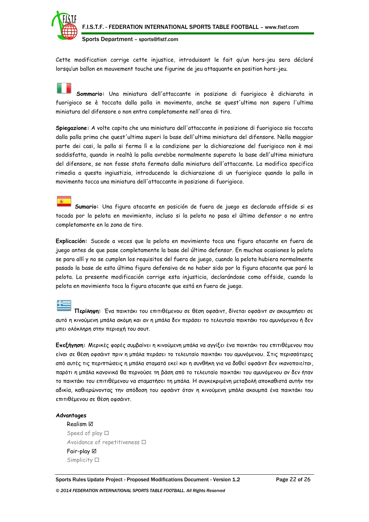

Cette modification corrige cette injustice, introduisant le fait qu'un hors-jeu sera déclaré lorsqu'un ballon en mouvement touche une figurine de jeu attaquante en position hors-jeu.

**Sommario:** Una miniatura dell'attaccante in posizione di fuorigioco è dichiarata in fuorigioco se è toccata dalla palla in movimento, anche se quest'ultima non supera l'ultima miniatura del difensore o non entra completamente nell'area di tiro.

**Spiegazione:** A volte capita che una miniatura dell'attaccante in posizione di fuorigioco sia toccata dalla palla prima che quest'ultima superi la base dell'ultima miniatura del difensore. Nella maggior parte dei casi, la palla si ferma lì e la condizione per la dichiarazione del fuorigioco non è mai soddisfatta, quando in realtà la palla avrebbe normalmente superato la base dell'ultima miniatura del difensore, se non fosse stata fermata dalla miniatura dell'attaccante. La modifica specifica rimedia a questa ingiustizia, introducendo la dichiarazione di un fuorigioco quando la palla in movimento tocca una miniatura dell'attaccante in posizione di fuorigioco.

**Sumario:** Una figura atacante en posición de fuera de juego es declarada offside si es tocada por la pelota en movimiento, incluso si la pelota no pasa el último defensor o no entra completamente en la zona de tiro.

**Explicación:** Sucede a veces que la pelota en movimiento toca una figura atacante en fuera de juego antes de que pase completamente la base del último defensor. En muchas ocasiones la pelota se para allí y no se cumplen los requisitos del fuera de juego, cuando la pelota hubiera normalmente pasado la base de esta última figura defensiva de no haber sido por la figura atacante que paró la pelota. La presente modificación corrige esta injusticia, declarándose como offside, cuando la pelota en movimiento toca la figura atacante que está en fuera de juego.

**Περίληψη:** Ένα παικτάκι του επιτιθέμενου σε θέση οφσάιντ, δίνεται οφσάιντ αν ακουμπήσει σε αυτό η κινούμενη μπάλα ακόμη και αν η μπάλα δεν περάσει το τελευταίο παικτάκι του αμυνόμενου ή δεν μπει ολόκληρη στην περιοχή του σουτ.

**Επεξήγηση:** Μερικές φορές συμβαίνει η κινούμενη μπάλα να αγγίξει ένα παικτάκι του επιτιθέμενου που είναι σε θέση οφσάιντ πριν η μπάλα περάσει το τελευταίο παικτάκι του αμυνόμενου. Στις περισσότερες από αυτές τις περιπτώσεις η μπάλα σταματά εκεί και η συνθήκη για να δοθεί οφσάιντ δεν ικανοποιείται, παρότι η μπάλα κανονικά θα περνούσε τη βάση από το τελευταίο παικτάκι του αμυνόμενου αν δεν ήταν το παικτάκι του επιτιθέμενου να σταματήσει τη μπάλα. Η συγκεκριμένη μεταβολή αποκαθιστά αυτήν την αδικία, καθιερώνοντας την απόδοση του οφσάιντ όταν η κινούμενη μπάλα ακουμπά ένα παικτάκι του επιτιθέμενου σε θέση οφσάιντ.

#### **Advantages**

Realism Speed of play  $\Box$ Avoidance of repetitiveness  $\Box$ Fair-play Simplicity  $\square$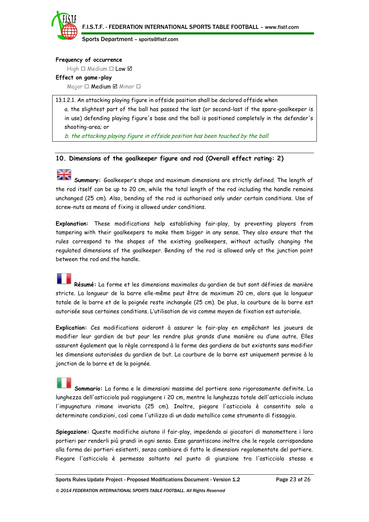

#### **Frequency of occurrence**

High  $\Box$  Medium  $\Box$  Low  $\boxtimes$ 

# **Effect on game-play**

 $M$ ajor  $\Box$  **Medium**  $\Box$  Minor  $\Box$ 

13.1.2.1. An attacking playing figure in offside position shall be declared offside when a. the slightest part of the ball has passed the last (or second-last if the spare-goalkeeper is in use) defending playing figure's base and the ball is positioned completely in the defender's shooting-area; or

b. the attacking playing figure in offside position has been touched by the ball.

# **10. Dimensions of the goalkeeper figure and rod (Overall effect rating: 2)**

# **Niz**

**Summary:** Goalkeeper's shape and maximum dimensions are strictly defined. The length of the rod itself can be up to 20 cm, while the total length of the rod including the handle remains unchanged (25 cm). Also, bending of the rod is authorised only under certain conditions. Use of screw-nuts as means of fixing is allowed under conditions.

**Explanation:** These modifications help establishing fair-play, by preventing players from tampering with their goalkeepers to make them bigger in any sense. They also ensure that the rules correspond to the shapes of the existing goalkeepers, without actually changing the regulated dimensions of the goalkeeper. Bending of the rod is allowed only at the junction point between the rod and the handle.

**Résumé:** La forme et les dimensions maximales du gardien de but sont définies de manière stricte. La longueur de la barre elle-même peut être de maximum 20 cm, alors que la longueur totale de la barre et de la poignée reste inchangée (25 cm). De plus, la courbure de la barre est autorisée sous certaines conditions. L'utilisation de vis comme moyen de fixation est autorisée.

**Explication:** Ces modifications aideront à assurer le fair-play en empêchant les joueurs de modifier leur gardien de but pour les rendre plus grands d'une manière ou d'une autre. Elles assurent également que la règle correspond à la forme des gardiens de but existants sans modifier les dimensions autorisées du gardien de but. La courbure de la barre est uniquement permise à la jonction de la barre et de la poignée.

**Sommario:** La forma e le dimensioni massime del portiere sono rigorosamente definite. La lunghezza dell'asticciola può raggiungere i 20 cm, mentre la lunghezza totale dell'asticciola inclusa l'impugnatura rimane invariata (25 cm). Inoltre, piegare l'asticciola è consentito solo a determinate condizioni, così come l'utilizzo di un dado metallico come strumento di fissaggio.

**Spiegazione:** Queste modifiche aiutano il fair-play, impedendo ai giocatori di manomettere i loro portieri per renderli più grandi in ogni senso. Esse garantiscono inoltre che le regole corrispondano alla forma dei portieri esistenti, senza cambiare di fatto le dimensioni regolamentate del portiere. Piegare l'asticciola è permesso soltanto nel punto di giunzione tra l'asticciola stessa e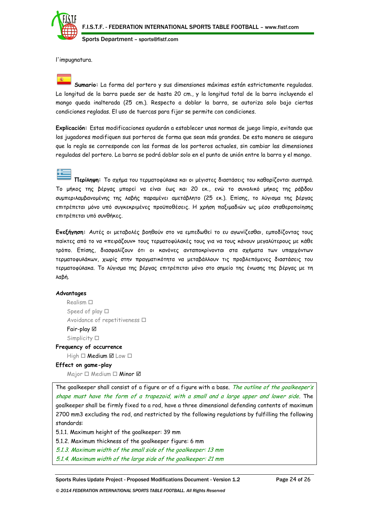

l'impugnatura.

**Sumario:** La forma del portero y sus dimensiones máximas están estrictamente reguladas. La longitud de la barra puede ser de hasta 20 cm., y la longitud total de la barra incluyendo el mango queda inalterada (25 cm.). Respecto a doblar la barra, se autoriza solo bajo ciertas condiciones regladas. El uso de tuercas para fijar se permite con condiciones.

**Explicación:** Estas modificaciones ayudarán a establecer unas normas de juego limpio, evitando que los jugadores modifiquen sus porteros de forma que sean más grandes. De esta manera se asegura que la regla se corresponde con las formas de los porteros actuales, sin cambiar las dimensiones reguladas del portero. La barra se podrá doblar solo en el punto de unión entre la barra y el mango.

**Περίληψη:** Το σχήμα του τερματοφύλακα και οι μέγιστες διαστάσεις του καθορίζονται αυστηρά. Το μήκος της βέργας μπορεί να είναι έως και 20 εκ., ενώ το συνολικό μήκος της ράβδου συμπεριλαμβανομένης της λαβής παραμένει αμετάβλητο (25 εκ.). Επίσης, το λύγισμα της βέργας επιτρέπεται μόνο υπό συγκεκριμένες προϋποθέσεις. Η χρήση παξιμαδιών ως μέσο σταθεροποίησης επιτρέπεται υπό συνθήκες.

**Επεξήγηση:** Αυτές οι μεταβολές βοηθούν στο να εμπεδωθεί το ευ αγωνίζεσθαι, εμποδίζοντας τους παίκτες από το να «πειράζουν» τους τερματοφύλακές τους για να τους κάνουν μεγαλύτερους με κάθε τρόπο. Επίσης, διασφαλίζουν ότι οι κανόνες ανταποκρίνονται στα σχήματα των υπαρχόντων τερματοφυλάκων, χωρίς στην πραγματικότητα να μεταβάλλουν τις προβλεπόμενες διαστάσεις του τερματοφύλακα. Το λύγισμα της βέργας επιτρέπεται μόνο στο σημείο της ένωσης της βέργας με τη λαβή.

## **Advantages**

Realism  $\square$ Speed of play  $\Box$ Avoidance of repetitiveness  $\Box$ Fair-play Simplicity  $\square$ 

**Frequency of occurrence**

# $High \Box$  Medium  $\boxtimes$  Low  $\Box$

# **Effect on game-play**

Major  $\Box$  Medium  $\Box$  Minor  $\boxtimes$ 

The goalkeeper shall consist of a figure or of a figure with a base. The outline of the goalkeeper's shape must have the form of a trapezoid, with a small and a large upper and lower side. The goalkeeper shall be firmly fixed to a rod, have a three dimensional defending contents of maximum 2700 mm3 excluding the rod, and restricted by the following regulations by fulfilling the following standards:

5.1.1. Maximum height of the goalkeeper: 39 mm

5.1.2. Maximum thickness of the goalkeeper figure: 6 mm

5.1.3. Maximum width of the small side of the goalkeeper: 13 mm

5.1.4. Maximum width of the large side of the goalkeeper: 21 mm

Sports Rules Update Project - Proposed Modifications Document - Version 1.2 Page 24 of 26

*© 2014 FEDERATION INTERNATIONAL SPORTS TABLE FOOTBALL. All Rights Reserved*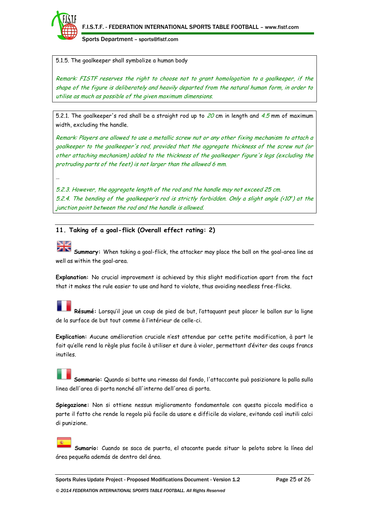

…

Sports Department – sports@fistf.com

5.1.5. The goalkeeper shall symbolize a human body

Remark: FISTF reserves the right to choose not to grant homologation to a goalkeeper, if the shape of the figure is deliberately and heavily departed from the natural human form, in order to utilise as much as possible of the given maximum dimensions.

5.2.1. The goalkeeper's rod shall be a straight rod up to  $20$  cm in length and  $4.5$  mm of maximum width, excluding the handle.

Remark: Players are allowed to use a metallic screw nut or any other fixing mechanism to attach a goalkeeper to the goalkeeper's rod, provided that the aggregate thickness of the screw nut (or other attaching mechanism) added to the thickness of the goalkeeper figure's legs (excluding the protruding parts of the feet) is not larger than the allowed 6 mm.

5.2.3. However, the aggregate length of the rod and the handle may not exceed 25 cm. 5.2.4. The bending of the goalkeeper's rod is strictly forbidden. Only a slight angle  $\langle\epsilon 10^{\circ}\rangle$  at the junction point between the rod and the handle is allowed.

**11. Taking of a goal-flick (Overall effect rating: 2)**

**Summary:** When taking a goal-flick, the attacker may place the ball on the goal-area line as well as within the goal-area.

**Explanation:** No crucial improvement is achieved by this slight modification apart from the fact that it makes the rule easier to use and hard to violate, thus avoiding needless free-flicks.

**Résumé:** Lorsqu'il joue un coup de pied de but, l'attaquant peut placer le ballon sur la ligne de la surface de but tout comme à l'intérieur de celle-ci.

**Explication:** Aucune amélioration cruciale n'est attendue par cette petite modification, à part le fait qu'elle rend la règle plus facile à utiliser et dure à violer, permettant d'éviter des coups francs inutiles.

**Sommario:** Quando si batte una rimessa dal fondo, l'attaccante può posizionare la palla sulla linea dell'area di porta nonché all'interno dell'area di porta.

**Spiegazione:** Non si ottiene nessun miglioramento fondamentale con questa piccola modifica a parte il fatto che rende la regola più facile da usare e difficile da violare, evitando così inutili calci di punizione.

**Sumario:** Cuando se saca de puerta, el atacante puede situar la pelota sobre la línea del área pequeña además de dentro del área.